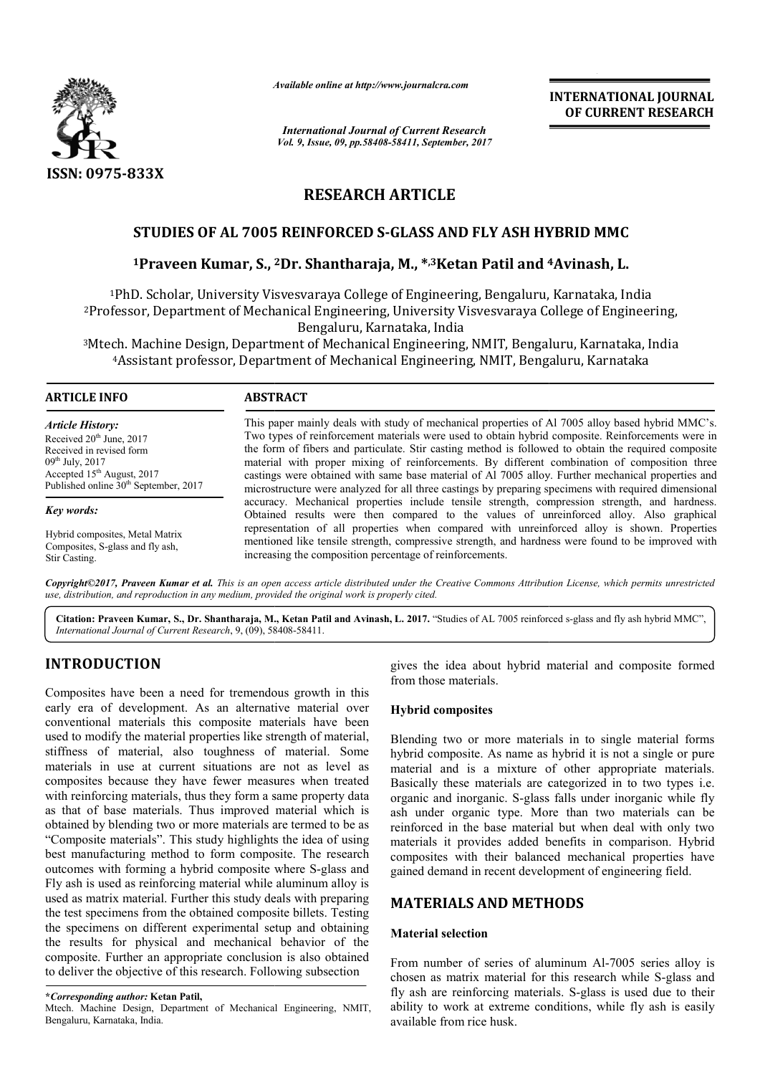

*Available online at http://www.journal http://www.journalcra.com*

*International Journal of Current Research Vol. 9, Issue, 09, pp.58408-58411, September, 2017* **INTERNATIONAL JOURNAL OF CURRENT RESEARCH** 

# **RESEARCH ARTICLE**

# **STUDIES OF AL 7005 REINFORCED S S-GLASS AND FLY ASH HYBRID MMC**

# **1Praveen Kumar, S., 2 2Dr. Shantharaja, M., \*,3Ketan Patil and <sup>4</sup> GLASS 4Avinash, L.**

<sup>1</sup>PhD. Scholar, University Visvesvaraya College of Engineering, Bengaluru, Karnataka, India 2Professor, Department of Mechanical Engineering, University Visvesvaraya College of Engineering, Professor, Bengaluru, Karnataka, India Visvesvaraya College of Engineering,<br>a<br><sub>l</sub>g, NMIT, Bengaluru, Karnataka, India

<sup>3</sup>Mtech. Machine Design, Department of Mechanical Engineering, NMIT, Bengaluru, Karnataka<br><sup>4</sup>Assistant professor, Department of Mechanical Engineering, NMIT, Bengaluru, Karnatak <sup>4</sup>Assistant professor, Department of Mechanical Engineering, NMIT, Bengaluru, Karnataka

#### **ARTICLE INFO ABSTRACT**

*Article History:* Received 20<sup>th</sup> June, 2017 Received in revised form  $09<sup>th</sup>$  July, 2017 Accepted 15<sup>th</sup> August, 2017 Published online 30<sup>th</sup> September, 2017

*Key words:*

Hybrid composites, Metal Matrix Composites, S-glass and fly ash, Stir Casting.

This paper mainly deals with study of mechanical properties of Al 7005 alloy based hybrid MMC's. Two types of reinforcement materials were used to obtain hybrid composite. Reinforcements were in the form of fibers and particulate. Stir casting method is followed to obtain the required composite the form of fibers and particulate. Stir casting method is followed to obtain the required composite material with proper mixing of reinforcements. By different combination of composition three castings were obtained with same base material of Al 7005 alloy. Further mechanical properties and microstructure were analyzed for all three castings by preparing specimens with required dimensional accuracy. Mechanical properties include tensile strength, compression strength, and hardness. Obtained results were then compared to the values of unreinforced alloy. Also graphical representation of all properties when compared with unreinforced alloy is shown. Properties mentioned like tensile strength, compressive strength, and hardness were found to be improved with increasing the composition percentage of reinforcements. castings were obtained with same base material of Al 7005 alloy. Further mechanical properiorstructure were analyzed for all three castings by preparing specimens with required d accuracy. Mechanical properties include ten IATIONAL JOURNAL<br>
URRENT RESEARCH<br>
URRENT RESEARCH<br>
Sh, L.<br>
aka, India<br>
f Engineering,<br>
rnataka, India<br>
armataka<br>
loy based hybrid MMC's.<br>
2. Reinforcements were in<br>
in the required dimensional<br>
with required dimensional<br>

*Copyright©2017, Praveen Kumar et al. This is an open access article distributed under the Creative Commons Att Attribution License, which ribution permits unrestricted use, distribution, and reproduction in any medium, provided the original work is properly cited.*

Citation: Praveen Kumar, S., Dr. Shantharaja, M., Ketan Patil and Avinash, L. 2017. "Studies of AL 7005 reinforced s-glass and fly ash hybrid MMC", International Journal of Current Research, 9, (09), 58408-58411.

# **INTRODUCTION**

Composites have been a need for tremendous growth in this early era of development. As an alternative material over conventional materials this composite materials have been used to modify the material properties like strength of material, stiffness of material, also toughness of material. Some materials in use at current situations are not as level as composites because they have fewer measures when treated with reinforcing materials, thus they form a same property data as that of base materials. Thus improved material which is obtained by blending two or more materials are termed to be as "Composite materials". This study highlights the idea of using best manufacturing method to form composite. The research outcomes with forming a hybrid composite where S-glass and Fly ash is used as reinforcing material while aluminum alloy is used as matrix material. Further this study deals with preparing the test specimens from the obtained composite billets. Testing the specimens on different experimental setup and obtaining the results for physical and mechanical behavior of the composite. Further an appropriate conclusion is also obtained to deliver the objective of this research. Following subsection erial, also toughness of material. Some<br>at current situations are not as level as<br>se they have fewer measures when treated<br>naterials, thus they form a same property data<br>materials. Thus improved material which is<br>ing two o extract of the idea about hybrid material and composite formed<br>
it. As an alternative material over<br>
it composites<br>
is composite material over<br>
in the strength of material over<br>
so complesses of material Same been<br>
so toug

Mtech. Machine Design, Department of Mechanical Engineering, NMIT, Bengaluru, Karnataka, India.

from those materials.

#### **Hybrid composites**

Blending two or more materials in to single material forms hybrid composite. As name as hybrid it is not a single or pure material and is a mixture of other appropriate materials. Basically these materials are categorized in to two types i.e. organic and inorganic. S-glass falls under inorganic while fly ash under organic type. More than two materials can be reinforced in the base material but when deal with only two materials it provides added benefits in comparison. Hybrid composites with their balanced mechanical properties have reinforced in the base material but when deal with only two materials it provides added benefits in comparison. Hybrid composites with their balanced mechanical properties have gained demand in recent development of engine dea about hybrid material and composite formed<br>materials.<br>**nposites**<br>wo or more materials in to single material forms<br>posite. As name as hybrid it is not a single or pure<br>d is a mixture of other appropriate materials.<br>ese

# **MATERIALS AND METHODS METHODS**

#### **Material selection**

From number of series of aluminum Al-7005 series alloy is chosen as matrix material for this research while S-glass and fly ash are reinforcing materials. S-glass is used due to their ability to work at extreme conditions, while fly ash is easily available from rice husk.

**<sup>\*</sup>***Corresponding author:* **Ketan Patil,**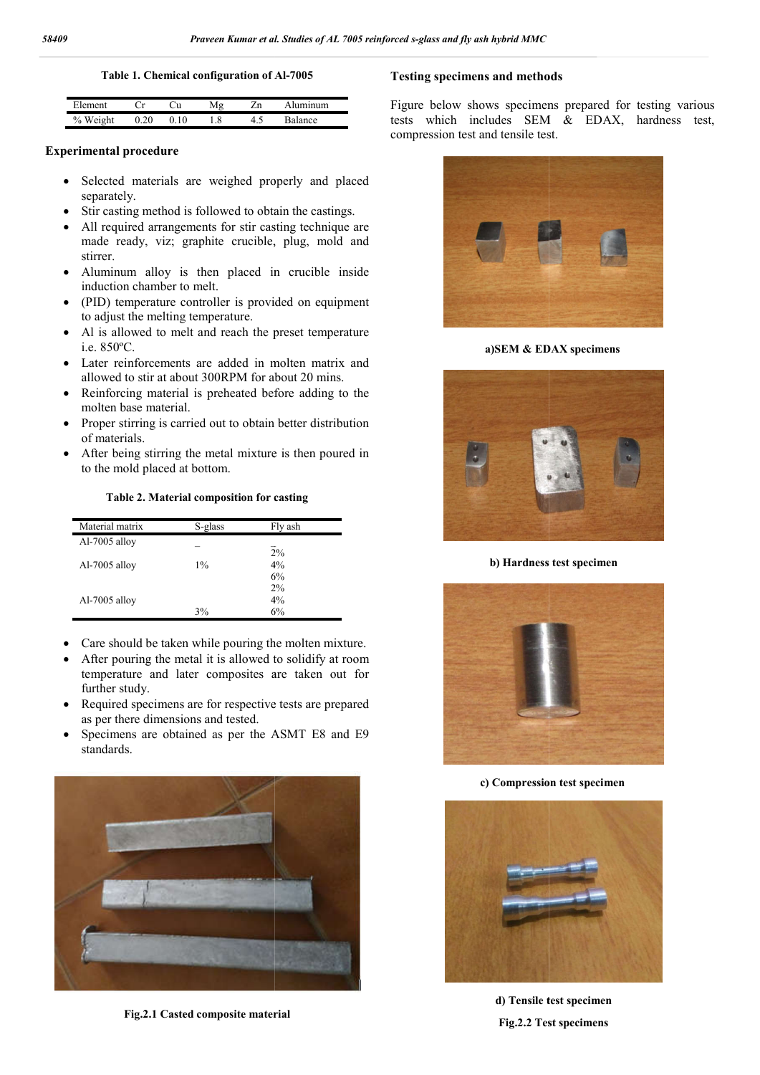**Table 1. Chemical configuration of Al Al-7005**

|                   |     | u  |     | <b>100</b> |            |  |
|-------------------|-----|----|-----|------------|------------|--|
| h<br>Weig<br>$\%$ | $-$ | 10 | 1.8 | т. .       | $n \alpha$ |  |

#### **Experimental procedure**

- Selected materials are weighed properly and placed separately.
- Stir casting method is followed to obtain the castings.
- All required arrangements for stir casting technique are made ready, viz; graphite crucible, plug, mold and stirrer.
- Aluminum alloy is then placed in crucible inside induction chamber to melt.
- (PID) temperature controller is provided on equipment to adjust the melting temperature.
- Al is allowed to melt and reach the preset temperature i.e. 850ºC.
- Later reinforcements are added in molten matrix and allowed to stir at about 300RPM for about 2 20 mins.
- Reinforcing material is preheated before adding to the molten base material.
- Proper stirring is carried out to obtain better distribution of materials.
- After being stirring the metal mixture is then poured in to the mold placed at bottom.

#### **Table 2. Material composition for casting**

| Material matrix | S-glass | Fly ash  |
|-----------------|---------|----------|
| Al-7005 alloy   |         |          |
|                 |         | 2%       |
| Al-7005 alloy   | $1\%$   | 4%       |
|                 |         | 6%<br>2% |
| Al-7005 alloy   |         | 4%       |
|                 | 3%      | 6%       |

- Care should be taken while pouring the molten mixture.
- After pouring the metal it is allowed to solidify at room temperature and later composites are taken out for further study.
- Required specimens are for respective tests are prepared as per there dimensions and tested.
- Specimens are obtained as per the ASMT E8 and E9 standards.



**Fig.2.1 Casted composite material**

#### **Testing specimens and methods**

Figure below shows specimens prepared for testing various tests which includes SEM & EDAX, hardness test, compression test and tensile test. below shows specimens prepared for testing various which includes SEM  $& EDAX$ , hardness test, ession test and tensile test.



**a)SEM & EDAX specimens**



**b) Hardness test specimen**



**c) Compression test specimen**



**d) Tensile test specimen Fig.2.2 Test specimens**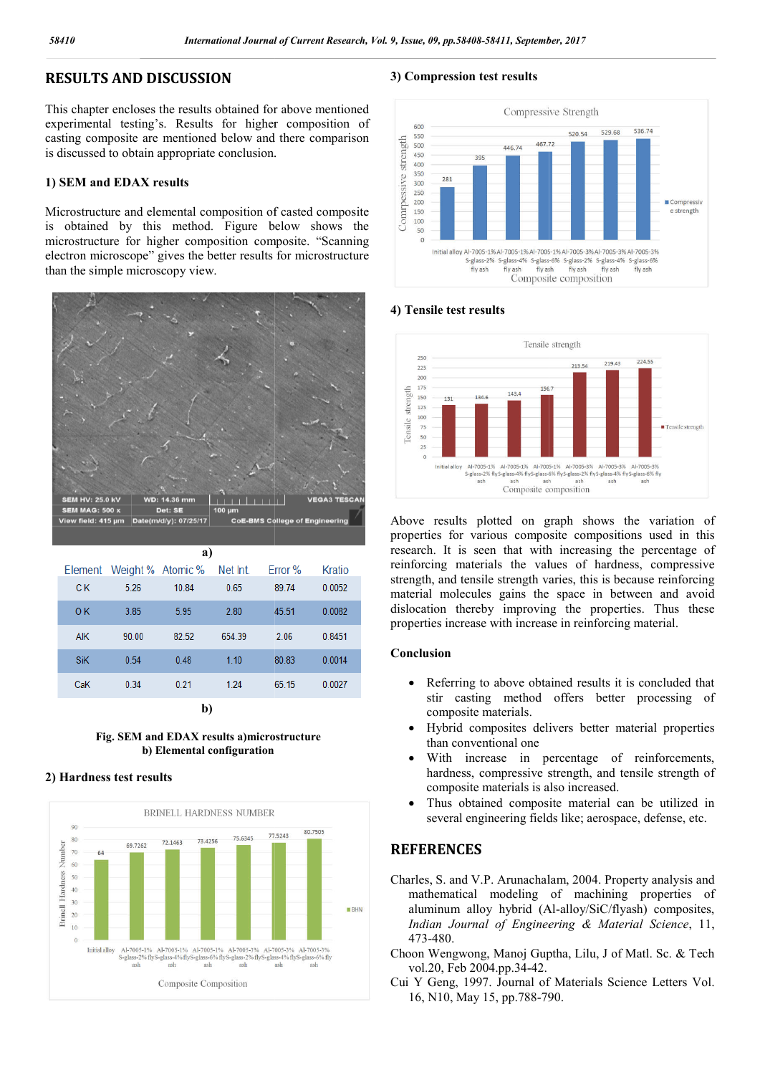# **RESULTS AND DISCUSSION**

This chapter encloses the results obtained for above mentioned experimental testing's. Results for higher composition of casting composite are mentioned below and there comparison is discussed to obtain appropriate conclusion.

#### **1) SEM and EDAX results**

Microstructure and elemental composition of casted composite is obtained by this method. Figure below shows the microstructure for higher composition composite. "Scanning electron microscope" gives the better results for microstructure than the simple microscopy view.



| a)         |                   |       |          |         |        |  |  |  |  |
|------------|-------------------|-------|----------|---------|--------|--|--|--|--|
| Element    | Weight % Atomic % |       | Net Int. | Error % | Kratio |  |  |  |  |
| C K        | 5.26              | 10.84 | 0.65     | 89.74   | 0.0052 |  |  |  |  |
| 0K         | 3.85              | 5.95  | 2.80     | 45.51   | 0.0082 |  |  |  |  |
| <b>AIK</b> | 90.00             | 82.52 | 654.39   | 2.06    | 0.8451 |  |  |  |  |
| <b>SiK</b> | 0.54              | 0.48  | 1.10     | 80.83   | 0.0014 |  |  |  |  |
| CaK        | 0.34              | 0.21  | 1.24     | 65.15   | 0.0027 |  |  |  |  |
|            |                   |       |          |         |        |  |  |  |  |

**b)**

**Fig. SEM and EDAX results a)microstructure b) Elemental configuration**

#### **2) Hardness test results**



#### **3) Compression test results**



### **4) Tensile test results**



Above results plotted on graph shows the variation of properties for various composite compositions used in this research. It is seen that with increasing the percentage of reinforcing materials the values of hardness, compressive strength, and tensile strength varies, this is because reinforcing material molecules gains the space in between and avoid dislocation thereby improving the properties. Thus these properties increase with increase in reinforcing mater ults plotted on graph shows the variation of<br>for various composite compositions used in this<br>t is seen that with increasing the percentage of<br>materials the values of hardness, compressive and tensile strength varies, this is because reinforcing molecules gains the space in between and avoid on thereby improving the properties. Thus these sincrease with increase in reinforcing material.

#### **Conclusion**

- Referring to above obtained results it is concluded that stir casting method offers better processing of composite materials. ring to above obtained results it is concluded that<br>casting method offers better processing of<br>osite materials.<br>id composites delivers better material properties<br>conventional one<br>increase in percentage of reinforcements,
- Hybrid composites delivers better material properties than conventional one
- With increase in percentage of reinforcements, hardness, compressive strength, and tensile strength of composite materials is also increased.
- Thus obtained composite material can be utilized in several engineering fields like; aerospace, defense, etc. hardness, compressive strength, and tensile strength of<br>
composite materials is also increased.<br>
• Thus obtained composite material can be utilized in<br>
several engineering fields like; aerospace, defense, etc.<br> **REFERENCES**

# **REFERENCES**

- mathematical modeling of machining properties of mathematical modeling of machining properties of aluminum alloy hybrid (Al-alloy/SiC/flyash) composites, Indian Journal of Engineering & Material Science, 11, 473-480.
- Choon Wengwong, Manoj Guptha, Lilu, J of Matl. Sc. Sc. & Tech vol.20, Feb 2004.pp.34-42.
- Cui Y Geng, 1997. Journal of Materials Science Letters Vol.<br>16, N10, May 15, pp.788-790. 16, N10, May 15, pp.788-790.